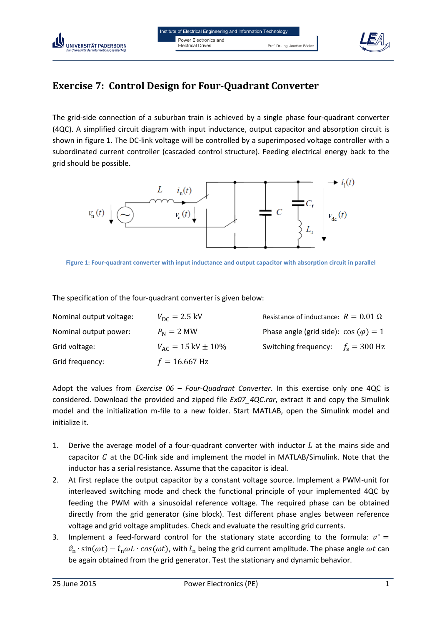

## **Exercise 7: Control Design for Four-Quadrant Converter**

UNIVERSITÄT PADERBORN

The grid-side connection of a suburban train is achieved by a single phase four-quadrant converter (4QC). A simplified circuit diagram with input inductance, output capacitor and absorption circuit is shown in figure 1. The DC-link voltage will be controlled by a superimposed voltage controller with a subordinated current controller (cascaded control structure). Feeding electrical energy back to the grid should be possible.



**Figure 1: Four-quadrant converter with input inductance and output capacitor with absorption circuit in parallel**

The specification of the four-quadrant converter is given below:

| Nominal output voltage: | $V_{\rm DC} = 2.5 \text{ kV}$     | Resistance of inductance: $R = 0.01 \Omega$  |  |
|-------------------------|-----------------------------------|----------------------------------------------|--|
| Nominal output power:   | $P_{\rm N} = 2$ MW                | Phase angle (grid side): $\cos(\varphi) = 1$ |  |
| Grid voltage:           | $V_{AC} = 15 \text{ kV} \pm 10\%$ | Switching frequency: $f_s = 300$ Hz          |  |
| Grid frequency:         | $f = 16.667$ Hz                   |                                              |  |

Adopt the values from *Exercise 06 – Four-Quadrant Converter*. In this exercise only one 4QC is considered. Download the provided and zipped file *Ex07\_4QC.rar*, extract it and copy the Simulink model and the initialization m-file to a new folder. Start MATLAB, open the Simulink model and initialize it.

- 1. Derive the average model of a four-quadrant converter with inductor  $L$  at the mains side and capacitor  $C$  at the DC-link side and implement the model in MATLAB/Simulink. Note that the inductor has a serial resistance. Assume that the capacitor is ideal.
- 2. At first replace the output capacitor by a constant voltage source. Implement a PWM-unit for interleaved switching mode and check the functional principle of your implemented 4QC by feeding the PWM with a sinusoidal reference voltage. The required phase can be obtained directly from the grid generator (sine block). Test different phase angles between reference voltage and grid voltage amplitudes. Check and evaluate the resulting grid currents.
- 3. Implement a feed-forward control for the stationary state according to the formula:  $v^*$  $\hat{v}_n \cdot \sin(\omega t) - \hat{i}_n \omega L \cdot \cos(\omega t)$ , with  $\hat{i}_n$  being the grid current amplitude. The phase angle  $\omega t$  can be again obtained from the grid generator. Test the stationary and dynamic behavior.